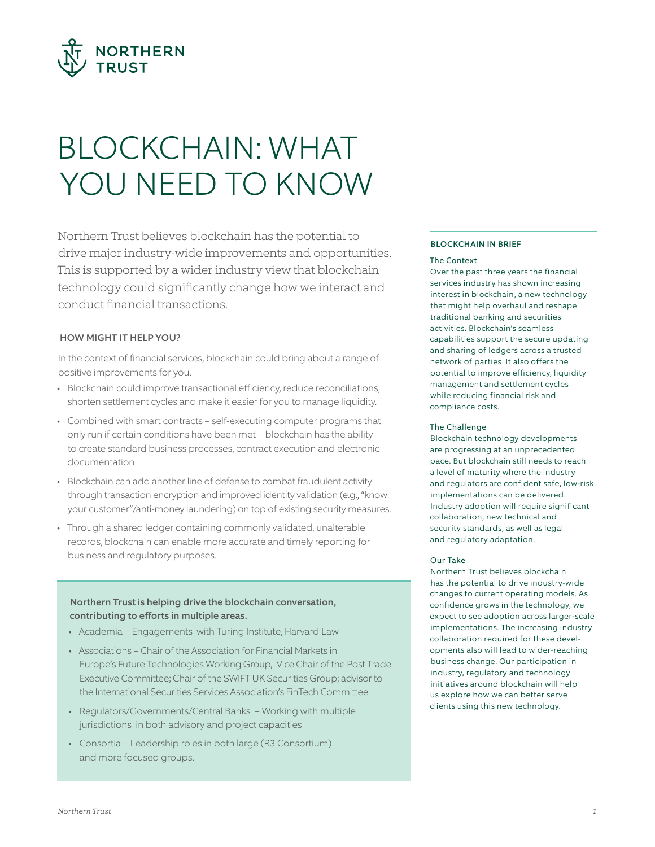

# BLOCKCHAIN: WHAT YOU NEED TO KNOW

Northern Trust believes blockchain has the potential to drive major industry-wide improvements and opportunities. This is supported by a wider industry view that blockchain technology could significantly change how we interact and conduct financial transactions.

## HOW MIGHT IT HELP YOU?

In the context of financial services, blockchain could bring about a range of positive improvements for you.

- Blockchain could improve transactional efficiency, reduce reconciliations, shorten settlement cycles and make it easier for you to manage liquidity.
- Combined with smart contracts self-executing computer programs that only run if certain conditions have been met – blockchain has the ability to create standard business processes, contract execution and electronic documentation.
- Blockchain can add another line of defense to combat fraudulent activity through transaction encryption and improved identity validation (e.g., "know your customer"/anti-money laundering) on top of existing security measures.
- Through a shared ledger containing commonly validated, unalterable records, blockchain can enable more accurate and timely reporting for business and regulatory purposes.

## Northern Trust is helping drive the blockchain conversation, contributing to efforts in multiple areas.

- Academia Engagements with Turing Institute, Harvard Law
- Associations Chair of the Association for Financial Markets in Europe's Future Technologies Working Group, Vice Chair of the Post Trade Executive Committee; Chair of the SWIFT UK Securities Group; advisor to the International Securities Services Association's FinTech Committee
- Regulators/Governments/Central Banks Working with multiple jurisdictions in both advisory and project capacities
- Consortia Leadership roles in both large (R3 Consortium) and more focused groups.

#### BLOCKCHAIN IN BRIEF

#### The Context

Over the past three years the financial services industry has shown increasing interest in blockchain, a new technology that might help overhaul and reshape traditional banking and securities activities. Blockchain's seamless capabilities support the secure updating and sharing of ledgers across a trusted network of parties. It also offers the potential to improve efficiency, liquidity management and settlement cycles while reducing financial risk and compliance costs.

#### The Challenge

Blockchain technology developments are progressing at an unprecedented pace. But blockchain still needs to reach a level of maturity where the industry and regulators are confident safe, low-risk implementations can be delivered. Industry adoption will require significant collaboration, new technical and security standards, as well as legal and regulatory adaptation.

#### Our Take

Northern Trust believes blockchain has the potential to drive industry-wide changes to current operating models. As confidence grows in the technology, we expect to see adoption across larger-scale implementations. The increasing industry collaboration required for these developments also will lead to wider-reaching business change. Our participation in industry, regulatory and technology initiatives around blockchain will help us explore how we can better serve clients using this new technology.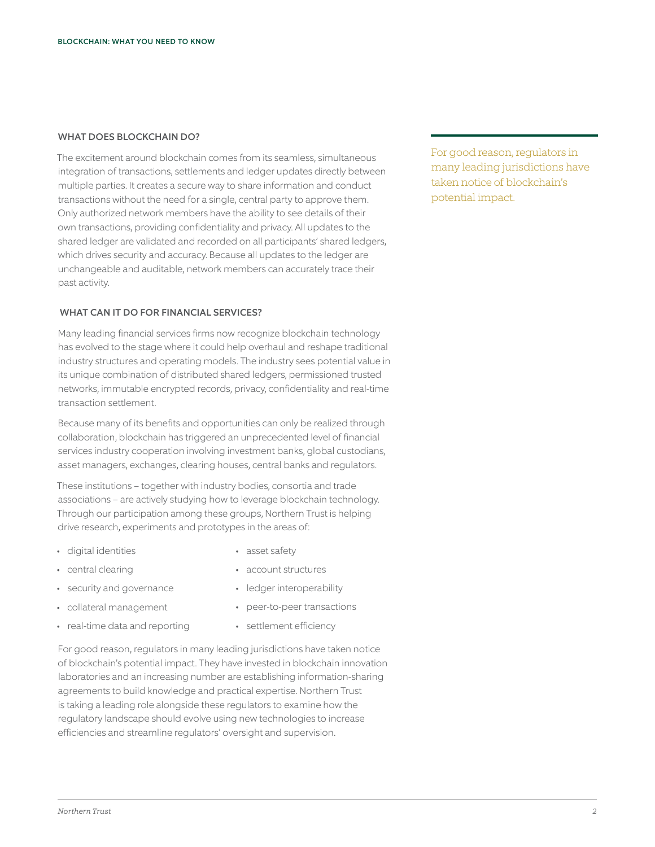## WHAT DOES BLOCKCHAIN DO?

The excitement around blockchain comes from its seamless, simultaneous integration of transactions, settlements and ledger updates directly between multiple parties. It creates a secure way to share information and conduct transactions without the need for a single, central party to approve them. Only authorized network members have the ability to see details of their own transactions, providing confidentiality and privacy. All updates to the shared ledger are validated and recorded on all participants' shared ledgers, which drives security and accuracy. Because all updates to the ledger are unchangeable and auditable, network members can accurately trace their past activity.

## WHAT CAN IT DO FOR FINANCIAL SERVICES?

Many leading financial services firms now recognize blockchain technology has evolved to the stage where it could help overhaul and reshape traditional industry structures and operating models. The industry sees potential value in its unique combination of distributed shared ledgers, permissioned trusted networks, immutable encrypted records, privacy, confidentiality and real-time transaction settlement.

Because many of its benefits and opportunities can only be realized through collaboration, blockchain has triggered an unprecedented level of financial services industry cooperation involving investment banks, global custodians, asset managers, exchanges, clearing houses, central banks and regulators.

These institutions – together with industry bodies, consortia and trade associations – are actively studying how to leverage blockchain technology. Through our participation among these groups, Northern Trust is helping drive research, experiments and prototypes in the areas of:

- digital identities
- central clearing
- security and governance
- collateral management
- real-time data and reporting
- asset safety
- account structures
- ledger interoperability
- peer-to-peer transactions
- settlement efficiency

For good reason, regulators in many leading jurisdictions have taken notice of blockchain's potential impact. They have invested in blockchain innovation laboratories and an increasing number are establishing information-sharing agreements to build knowledge and practical expertise. Northern Trust is taking a leading role alongside these regulators to examine how the regulatory landscape should evolve using new technologies to increase efficiencies and streamline regulators' oversight and supervision.

For good reason, regulators in many leading jurisdictions have taken notice of blockchain's potential impact.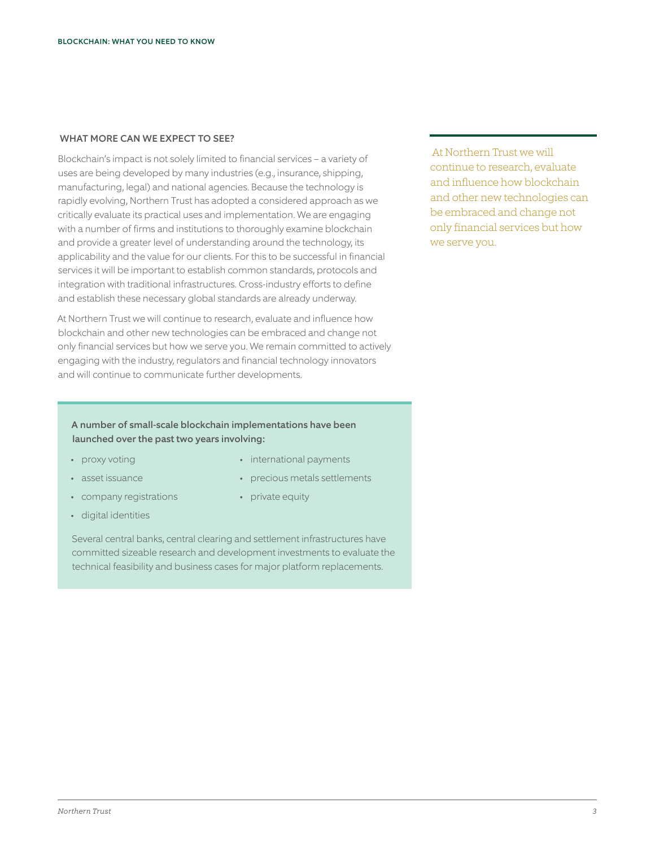### WHAT MORE CAN WE EXPECT TO SEE?

Blockchain's impact is not solely limited to financial services – a variety of uses are being developed by many industries (e.g., insurance, shipping, manufacturing, legal) and national agencies. Because the technology is rapidly evolving, Northern Trust has adopted a considered approach as we critically evaluate its practical uses and implementation. We are engaging with a number of firms and institutions to thoroughly examine blockchain and provide a greater level of understanding around the technology, its applicability and the value for our clients. For this to be successful in financial services it will be important to establish common standards, protocols and integration with traditional infrastructures. Cross-industry efforts to define and establish these necessary global standards are already underway.

At Northern Trust we will continue to research, evaluate and influence how blockchain and other new technologies can be embraced and change not only financial services but how we serve you. We remain committed to actively engaging with the industry, regulators and financial technology innovators and will continue to communicate further developments.

 At Northern Trust we will continue to research, evaluate and influence how blockchain and other new technologies can be embraced and change not only financial services but how we serve you.

## A number of small-scale blockchain implementations have been launched over the past two years involving:

- proxy voting
- asset issuance
- company registrations
- digital identities
- international payments
- precious metals settlements
- private equity

Several central banks, central clearing and settlement infrastructures have committed sizeable research and development investments to evaluate the technical feasibility and business cases for major platform replacements.